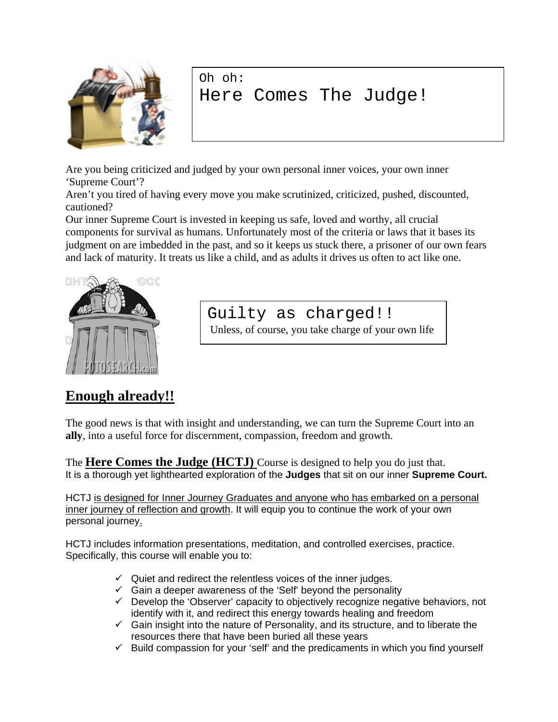

Oh oh: Here Comes The Judge!

Are you being criticized and judged by your own personal inner voices, your own inner 'Supreme Court'?

Aren't you tired of having every move you make scrutinized, criticized, pushed, discounted, cautioned?

Our inner Supreme Court is invested in keeping us safe, loved and worthy, all crucial components for survival as humans. Unfortunately most of the criteria or laws that it bases its judgment on are imbedded in the past, and so it keeps us stuck there, a prisoner of our own fears and lack of maturity. It treats us like a child, and as adults it drives us often to act like one.



Guilty as charged!!

Unless, of course, you take charge of your own life

## **Enough already!!**

The good news is that with insight and understanding, we can turn the Supreme Court into an **ally**, into a useful force for discernment, compassion, freedom and growth.

The **Here Comes the Judge (HCTJ)** Course is designed to help you do just that. It is a thorough yet lighthearted exploration of the **Judges** that sit on our inner **Supreme Court.**

HCTJ is designed for Inner Journey Graduates and anyone who has embarked on a personal inner journey of reflection and growth. It will equip you to continue the work of your own personal journey.

HCTJ includes information presentations, meditation, and controlled exercises, practice. Specifically, this course will enable you to:

- $\checkmark$  Quiet and redirect the relentless voices of the inner judges.
- $\checkmark$  Gain a deeper awareness of the 'Self' beyond the personality
- $\checkmark$  Develop the 'Observer' capacity to objectively recognize negative behaviors, not identify with it, and redirect this energy towards healing and freedom
- $\checkmark$  Gain insight into the nature of Personality, and its structure, and to liberate the resources there that have been buried all these years
- $\checkmark$  Build compassion for your 'self' and the predicaments in which you find yourself